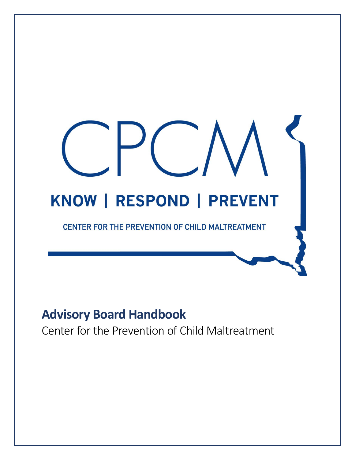# KNOW | RESPOND | PREVENT CENTER FOR THE PREVENTION OF CHILD MALTREATMENT

# **Advisory Board Handbook**

Center for the Prevention of Child Maltreatment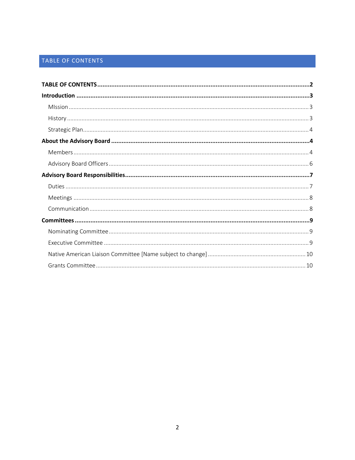# <span id="page-1-0"></span>TABLE OF CONTENTS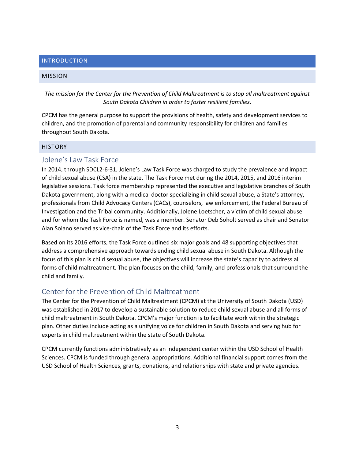# <span id="page-2-0"></span>INTRODUCTION

### <span id="page-2-1"></span>MISSION

*The mission for the Center for the Prevention of Child Maltreatment is to stop all maltreatment against South Dakota Children in order to foster resilient families.*

CPCM has the general purpose to support the provisions of health, safety and development services to children, and the promotion of parental and community responsibility for children and families throughout South Dakota.

### <span id="page-2-2"></span>**HISTORY**

# Jolene's Law Task Force

In 2014, through SDCL2-6-31, Jolene's Law Task Force was charged to study the prevalence and impact of child sexual abuse (CSA) in the state. The Task Force met during the 2014, 2015, and 2016 interim legislative sessions. Task force membership represented the executive and legislative branches of South Dakota government, along with a medical doctor specializing in child sexual abuse, a State's attorney, professionals from Child Advocacy Centers (CACs), counselors, law enforcement, the Federal Bureau of Investigation and the Tribal community. Additionally, Jolene Loetscher, a victim of child sexual abuse and for whom the Task Force is named, was a member. Senator Deb Soholt served as chair and Senator Alan Solano served as vice-chair of the Task Force and its efforts.

Based on its 2016 efforts, the Task Force outlined six major goals and 48 supporting objectives that address a comprehensive approach towards ending child sexual abuse in South Dakota. Although the focus of this plan is child sexual abuse, the objectives will increase the state's capacity to address all forms of child maltreatment. The plan focuses on the child, family, and professionals that surround the child and family.

# Center for the Prevention of Child Maltreatment

The Center for the Prevention of Child Maltreatment (CPCM) at the University of South Dakota (USD) was established in 2017 to develop a sustainable solution to reduce child sexual abuse and all forms of child maltreatment in South Dakota. CPCM's major function is to facilitate work within the strategic plan. Other duties include acting as a unifying voice for children in South Dakota and serving hub for experts in child maltreatment within the state of South Dakota.

CPCM currently functions administratively as an independent center within the USD School of Health Sciences. CPCM is funded through general appropriations. Additional financial support comes from the USD School of Health Sciences, grants, donations, and relationships with state and private agencies.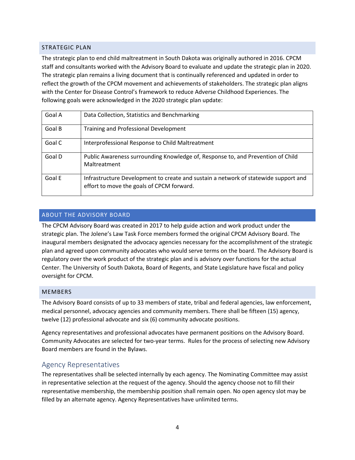### <span id="page-3-0"></span>STRATEGIC PLAN

The strategic plan to end child maltreatment in South Dakota was originally authored in 2016. CPCM staff and consultants worked with the Advisory Board to evaluate and update the strategic plan in 2020. The strategic plan remains a living document that is continually referenced and updated in order to reflect the growth of the CPCM movement and achievements of stakeholders. The strategic plan aligns with the Center for Disease Control's framework to reduce Adverse Childhood Experiences. The following goals were acknowledged in the 2020 strategic plan update:

| Goal A | Data Collection, Statistics and Benchmarking                                                                                     |
|--------|----------------------------------------------------------------------------------------------------------------------------------|
| Goal B | Training and Professional Development                                                                                            |
| Goal C | Interprofessional Response to Child Maltreatment                                                                                 |
| Goal D | Public Awareness surrounding Knowledge of, Response to, and Prevention of Child<br>Maltreatment                                  |
| Goal E | Infrastructure Development to create and sustain a network of statewide support and<br>effort to move the goals of CPCM forward. |

### <span id="page-3-1"></span>ABOUT THE ADVISORY BOARD

The CPCM Advisory Board was created in 2017 to help guide action and work product under the strategic plan. The Jolene's Law Task Force members formed the original CPCM Advisory Board. The inaugural members designated the advocacy agencies necessary for the accomplishment of the strategic plan and agreed upon community advocates who would serve terms on the board. The Advisory Board is regulatory over the work product of the strategic plan and is advisory over functions for the actual Center. The University of South Dakota, Board of Regents, and State Legislature have fiscal and policy oversight for CPCM.

### <span id="page-3-2"></span>MEMBERS

The Advisory Board consists of up to 33 members of state, tribal and federal agencies, law enforcement, medical personnel, advocacy agencies and community members. There shall be fifteen (15) agency, twelve (12) professional advocate and six (6) community advocate positions.

Agency representatives and professional advocates have permanent positions on the Advisory Board. Community Advocates are selected for two-year terms. Rules for the process of selecting new Advisory Board members are found in the Bylaws.

# Agency Representatives

The representatives shall be selected internally by each agency. The Nominating Committee may assist in representative selection at the request of the agency. Should the agency choose not to fill their representative membership, the membership position shall remain open. No open agency slot may be filled by an alternate agency. Agency Representatives have unlimited terms.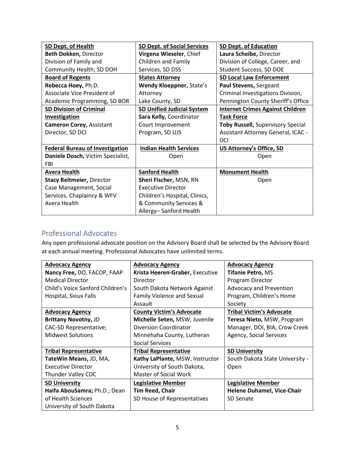| SD Dept. of Health                     | <b>SD Dept. of Social Services</b> | <b>SD Dept. of Education</b>             |
|----------------------------------------|------------------------------------|------------------------------------------|
| Beth Dokken, Director                  | Virgena Wieseler, Chief            | Laura Scheibe, Director                  |
| Division of Family and                 | <b>Children and Family</b>         | Division of College, Career, and         |
| Community Health; SD DOH               | Services, SD DSS                   | Student Success, SD DOE                  |
| <b>Board of Regents</b>                | <b>States Attorney</b>             | <b>SD Local Law Enforcement</b>          |
| Rebecca Hoey, Ph.D.                    | Wendy Kloeppner, State's           | Paul Stevens, Sergeant                   |
| Associate Vice President of            | Attorney                           | Criminal Investigations Division,        |
| Academic Programming, SD BOR           | Lake County, SD                    | Pennington County Sheriff's Office       |
| <b>SD Division of Criminal</b>         | <b>SD Unified Judicial System</b>  | <b>Internet Crimes Against Children</b>  |
| <b>Investigation</b>                   | Sara Kelly, Coordinator            | <b>Task Force</b>                        |
| <b>Cameron Corey, Assistant</b>        | Court Improvement                  | <b>Toby Russell, Supervisory Special</b> |
| Director, SD DCI                       | Program, SD UJS                    | Assistant Attorney General, ICAC -       |
|                                        |                                    | DCI                                      |
| <b>Federal Bureau of Investigation</b> | <b>Indian Health Services</b>      | <b>US Attorney's Office, SD</b>          |
| Daniele Dosch, Victim Specialist,      | Open                               | Open                                     |
| <b>FBI</b>                             |                                    |                                          |
| Avera Health                           | <b>Sanford Health</b>              | <b>Monument Health</b>                   |
| <b>Stacy Reitmeier, Director</b>       | Sheri Fischer, MSN, RN             | Open                                     |
| Case Management, Social                | <b>Executive Director</b>          |                                          |
| Services, Chaplaincy & WFV             | Children's Hospital, Clinics,      |                                          |
| Avera Health                           | & Community Services &             |                                          |
|                                        | Allergy-Sanford Health             |                                          |

# Professional Advocates

Any open professional advocate position on the Advisory Board shall be selected by the Advisory Board at each annual meeting. Professional Advocates have unlimited terms.

| <b>Advocacy Agency</b>           | <b>Advocacy Agency</b>            | <b>Advocacy Agency</b>            |
|----------------------------------|-----------------------------------|-----------------------------------|
| Nancy Free, DO, FACOP, FAAP      | Krista Heeren-Graber, Executive   | <b>Tifanie Petro, MS</b>          |
| <b>Medical Director</b>          | Director                          | Program Director                  |
| Child's Voice Sanford Children's | South Dakota Network Against      | <b>Advocacy and Prevention</b>    |
| Hospital, Sioux Falls            | <b>Family Violence and Sexual</b> | Program, Children's Home          |
|                                  | Assault                           | Society                           |
| <b>Advocacy Agency</b>           | <b>County Victim's Advocate</b>   | <b>Tribal Victim's Advocate</b>   |
| <b>Brittany Novotny, JD</b>      | Michelle Seten, MSW, Juvenile     | Teresa Nieto, MSW, Program        |
| CAC-SD Representative;           | Diversion Coordinator             | Manager, DOI, BIA, Crow Creek     |
| <b>Midwest Solutions</b>         | Minnehaha County, Lutheran        | Agency, Social Services           |
|                                  | <b>Social Services</b>            |                                   |
| <b>Tribal Representative</b>     | <b>Tribal Representative</b>      | <b>SD University</b>              |
| TateWin Means, JD, MA,           | Kathy LaPlante, MSW, Instructor   | South Dakota State University -   |
| <b>Executive Director</b>        | University of South Dakota,       | Open                              |
| Thunder Valley CDC               | Master of Social Work             |                                   |
| <b>SD University</b>             | <b>Legislative Member</b>         | <b>Legislative Member</b>         |
| Haifa AbouSamra; Ph.D.; Dean     | <b>Tim Reed, Chair</b>            | <b>Helene Duhamel, Vice-Chair</b> |
| of Health Sciences               | SD House of Representatives       | <b>SD Senate</b>                  |
| University of South Dakota       |                                   |                                   |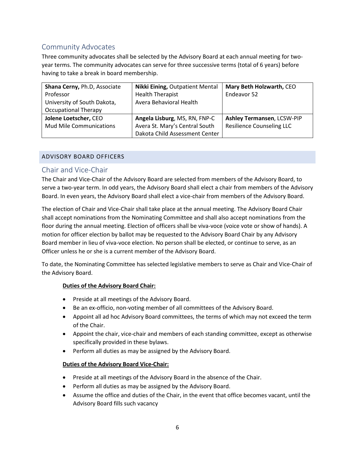# Community Advocates

Three community advocates shall be selected by the Advisory Board at each annual meeting for twoyear terms. The community advocates can serve for three successive terms (total of 6 years) before having to take a break in board membership.

| Shana Cerny, Ph.D, Associate   | <b>Nikki Eining, Outpatient Mental</b> | Mary Beth Holzwarth, CEO         |
|--------------------------------|----------------------------------------|----------------------------------|
| Professor                      | <b>Health Therapist</b>                | Endeavor 52                      |
| University of South Dakota,    | Avera Behavioral Health                |                                  |
| <b>Occupational Therapy</b>    |                                        |                                  |
| Jolene Loetscher, CEO          | Angela Lisburg, MS, RN, FNP-C          | Ashley Termansen, LCSW-PIP       |
| <b>Mud Mile Communications</b> | Avera St. Mary's Central South         | <b>Resilience Counseling LLC</b> |
|                                | Dakota Child Assessment Center         |                                  |

# <span id="page-5-0"></span>ADVISORY BOARD OFFICERS

# Chair and Vice-Chair

The Chair and Vice-Chair of the Advisory Board are selected from members of the Advisory Board, to serve a two-year term. In odd years, the Advisory Board shall elect a chair from members of the Advisory Board. In even years, the Advisory Board shall elect a vice-chair from members of the Advisory Board.

The election of Chair and Vice-Chair shall take place at the annual meeting. The Advisory Board Chair shall accept nominations from the Nominating Committee and shall also accept nominations from the floor during the annual meeting. Election of officers shall be viva-voce (voice vote or show of hands). A motion for officer election by ballot may be requested to the Advisory Board Chair by any Advisory Board member in lieu of viva-voce election. No person shall be elected, or continue to serve, as an Officer unless he or she is a current member of the Advisory Board.

To date, the Nominating Committee has selected legislative members to serve as Chair and Vice-Chair of the Advisory Board.

# **Duties of the Advisory Board Chair:**

- Preside at all meetings of the Advisory Board.
- Be an ex-officio, non-voting member of all committees of the Advisory Board.
- Appoint all ad hoc Advisory Board committees, the terms of which may not exceed the term of the Chair.
- Appoint the chair, vice-chair and members of each standing committee, except as otherwise specifically provided in these bylaws.
- Perform all duties as may be assigned by the Advisory Board.

### **Duties of the Advisory Board Vice-Chair:**

- Preside at all meetings of the Advisory Board in the absence of the Chair.
- Perform all duties as may be assigned by the Advisory Board.
- Assume the office and duties of the Chair, in the event that office becomes vacant, until the Advisory Board fills such vacancy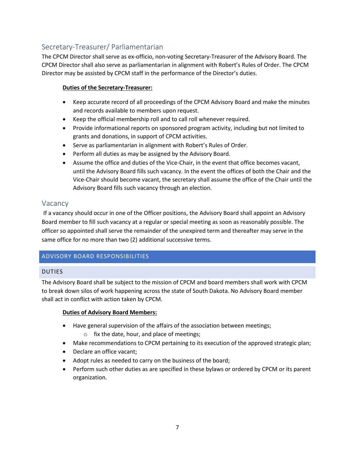# Secretary-Treasurer/ Parliamentarian

The CPCM Director shall serve as ex-officio, non-voting Secretary-Treasurer of the Advisory Board. The CPCM Director shall also serve as parliamentarian in alignment with Robert's Rules of Order. The CPCM Director may be assisted by CPCM staff in the performance of the Director's duties.

# **Duties of the Secretary-Treasurer:**

- Keep accurate record of all proceedings of the CPCM Advisory Board and make the minutes and records available to members upon request.
- Keep the official membership roll and to call roll whenever required.
- Provide informational reports on sponsored program activity, including but not limited to grants and donations, in support of CPCM activities.
- Serve as parliamentarian in alignment with Robert's Rules of Order.
- Perform all duties as may be assigned by the Advisory Board.
- Assume the office and duties of the Vice-Chair, in the event that office becomes vacant, until the Advisory Board fills such vacancy. In the event the offices of both the Chair and the Vice-Chair should become vacant, the secretary shall assume the office of the Chair until the Advisory Board fills such vacancy through an election.

# Vacancy

If a vacancy should occur in one of the Officer positions, the Advisory Board shall appoint an Advisory Board member to fill such vacancy at a regular or special meeting as soon as reasonably possible. The officer so appointed shall serve the remainder of the unexpired term and thereafter may serve in the same office for no more than two (2) additional successive terms.

# <span id="page-6-0"></span>ADVISORY BOARD RESPONSIBILITIES

# <span id="page-6-1"></span>DUTIES

The Advisory Board shall be subject to the mission of CPCM and board members shall work with CPCM to break down silos of work happening across the state of South Dakota. No Advisory Board member shall act in conflict with action taken by CPCM.

# **Duties of Advisory Board Members:**

- Have general supervision of the affairs of the association between meetings;
	- o fix the date, hour, and place of meetings;
- Make recommendations to CPCM pertaining to its execution of the approved strategic plan;
- Declare an office vacant;
- Adopt rules as needed to carry on the business of the board;
- Perform such other duties as are specified in these bylaws or ordered by CPCM or its parent organization.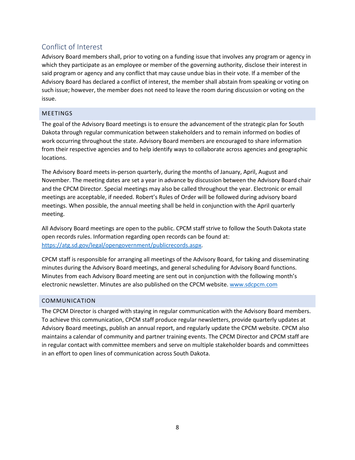# Conflict of Interest

Advisory Board members shall, prior to voting on a funding issue that involves any program or agency in which they participate as an employee or member of the governing authority, disclose their interest in said program or agency and any conflict that may cause undue bias in their vote. If a member of the Advisory Board has declared a conflict of interest, the member shall abstain from speaking or voting on such issue; however, the member does not need to leave the room during discussion or voting on the issue.

# <span id="page-7-0"></span>MEETINGS

The goal of the Advisory Board meetings is to ensure the advancement of the strategic plan for South Dakota through regular communication between stakeholders and to remain informed on bodies of work occurring throughout the state. Advisory Board members are encouraged to share information from their respective agencies and to help identify ways to collaborate across agencies and geographic locations.

The Advisory Board meets in-person quarterly, during the months of January, April, August and November. The meeting dates are set a year in advance by discussion between the Advisory Board chair and the CPCM Director. Special meetings may also be called throughout the year. Electronic or email meetings are acceptable, if needed. Robert's Rules of Order will be followed during advisory board meetings. When possible, the annual meeting shall be held in conjunction with the April quarterly meeting.

All Advisory Board meetings are open to the public. CPCM staff strive to follow the South Dakota state open records rules. Information regarding open records can be found at: [https://atg.sd.gov/legal/opengovernment/publicrecords.aspx.](https://atg.sd.gov/legal/opengovernment/publicrecords.aspx)

CPCM staff is responsible for arranging all meetings of the Advisory Board, for taking and disseminating minutes during the Advisory Board meetings, and general scheduling for Advisory Board functions. Minutes from each Advisory Board meeting are sent out in conjunction with the following month's electronic newsletter. Minutes are also published on the CPCM website[. www.sdcpcm.com](http://www.sdcpcm.com/)

# <span id="page-7-1"></span>COMMUNICATION

The CPCM Director is charged with staying in regular communication with the Advisory Board members. To achieve this communication, CPCM staff produce regular newsletters, provide quarterly updates at Advisory Board meetings, publish an annual report, and regularly update the CPCM website. CPCM also maintains a calendar of community and partner training events. The CPCM Director and CPCM staff are in regular contact with committee members and serve on multiple stakeholder boards and committees in an effort to open lines of communication across South Dakota.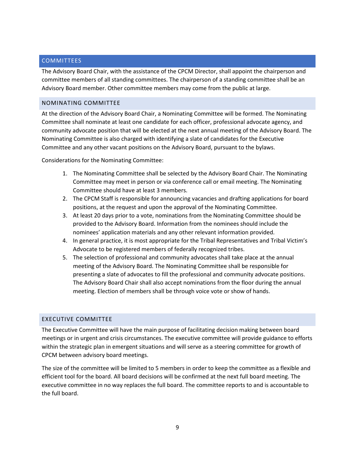## <span id="page-8-0"></span>**COMMITTEES**

The Advisory Board Chair, with the assistance of the CPCM Director, shall appoint the chairperson and committee members of all standing committees. The chairperson of a standing committee shall be an Advisory Board member. Other committee members may come from the public at large.

### <span id="page-8-1"></span>NOMINATING COMMITTEE

At the direction of the Advisory Board Chair, a Nominating Committee will be formed. The Nominating Committee shall nominate at least one candidate for each officer, professional advocate agency, and community advocate position that will be elected at the next annual meeting of the Advisory Board. The Nominating Committee is also charged with identifying a slate of candidates for the Executive Committee and any other vacant positions on the Advisory Board, pursuant to the bylaws.

Considerations for the Nominating Committee:

- 1. The Nominating Committee shall be selected by the Advisory Board Chair. The Nominating Committee may meet in person or via conference call or email meeting. The Nominating Committee should have at least 3 members.
- 2. The CPCM Staff is responsible for announcing vacancies and drafting applications for board positions, at the request and upon the approval of the Nominating Committee.
- 3. At least 20 days prior to a vote, nominations from the Nominating Committee should be provided to the Advisory Board. Information from the nominees should include the nominees' application materials and any other relevant information provided.
- 4. In general practice, it is most appropriate for the Tribal Representatives and Tribal Victim's Advocate to be registered members of federally recognized tribes.
- 5. The selection of professional and community advocates shall take place at the annual meeting of the Advisory Board. The Nominating Committee shall be responsible for presenting a slate of advocates to fill the professional and community advocate positions. The Advisory Board Chair shall also accept nominations from the floor during the annual meeting. Election of members shall be through voice vote or show of hands.

# <span id="page-8-2"></span>EXECUTIVE COMMITTEE

The Executive Committee will have the main purpose of facilitating decision making between board meetings or in urgent and crisis circumstances. The executive committee will provide guidance to efforts within the strategic plan in emergent situations and will serve as a steering committee for growth of CPCM between advisory board meetings.

The size of the committee will be limited to 5 members in order to keep the committee as a flexible and efficient tool for the board. All board decisions will be confirmed at the next full board meeting. The executive committee in no way replaces the full board. The committee reports to and is accountable to the full board.